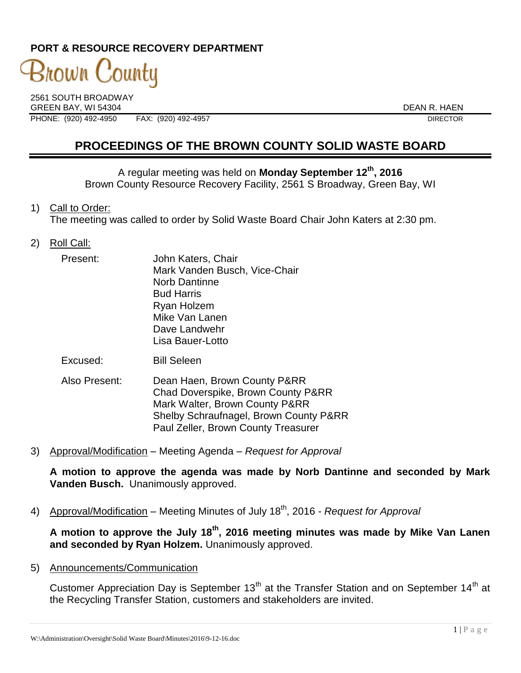### **PORT & RESOURCE RECOVERY DEPARTMENT**

# 3nown C 'ountu

2561 SOUTH BROADWAY GREEN BAY. WI 54304 DEAN R. HAEN PHONE: (920) 492-4950 FAX: (920) 492-4957 DIRECTOR

## **PROCEEDINGS OF THE BROWN COUNTY SOLID WASTE BOARD**

A regular meeting was held on **Monday September 12th, 2016** Brown County Resource Recovery Facility, 2561 S Broadway, Green Bay, WI

1) Call to Order:

The meeting was called to order by Solid Waste Board Chair John Katers at 2:30 pm.

2) Roll Call:

| Present: | John Katers, Chair            |
|----------|-------------------------------|
|          | Mark Vanden Busch, Vice-Chair |
|          | <b>Norb Dantinne</b>          |
|          | <b>Bud Harris</b>             |
|          | Ryan Holzem                   |
|          | Mike Van Lanen                |
|          | Dave Landwehr                 |
|          | Lisa Bauer-Lotto              |
|          |                               |

Excused: Bill Seleen

- Also Present: Dean Haen, Brown County P&RR Chad Doverspike, Brown County P&RR Mark Walter, Brown County P&RR Shelby Schraufnagel, Brown County P&RR Paul Zeller, Brown County Treasurer
- 3) Approval/Modification Meeting Agenda *Request for Approval*

**A motion to approve the agenda was made by Norb Dantinne and seconded by Mark Vanden Busch.** Unanimously approved.

4) Approval/Modification – Meeting Minutes of July 18<sup>th</sup>, 2016 *- Request for Approval* 

**A motion to approve the July 18th , 2016 meeting minutes was made by Mike Van Lanen and seconded by Ryan Holzem.** Unanimously approved.

5) Announcements/Communication

Customer Appreciation Day is September  $13<sup>th</sup>$  at the Transfer Station and on September  $14<sup>th</sup>$  at the Recycling Transfer Station, customers and stakeholders are invited.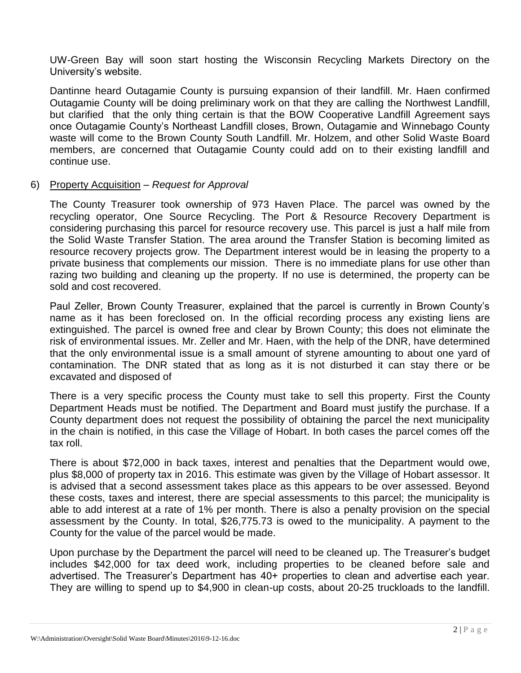UW-Green Bay will soon start hosting the Wisconsin Recycling Markets Directory on the University's website.

Dantinne heard Outagamie County is pursuing expansion of their landfill. Mr. Haen confirmed Outagamie County will be doing preliminary work on that they are calling the Northwest Landfill, but clarified that the only thing certain is that the BOW Cooperative Landfill Agreement says once Outagamie County's Northeast Landfill closes, Brown, Outagamie and Winnebago County waste will come to the Brown County South Landfill. Mr. Holzem, and other Solid Waste Board members, are concerned that Outagamie County could add on to their existing landfill and continue use.

#### 6) Property Acquisition – *Request for Approval*

The County Treasurer took ownership of 973 Haven Place. The parcel was owned by the recycling operator, One Source Recycling. The Port & Resource Recovery Department is considering purchasing this parcel for resource recovery use. This parcel is just a half mile from the Solid Waste Transfer Station. The area around the Transfer Station is becoming limited as resource recovery projects grow. The Department interest would be in leasing the property to a private business that complements our mission. There is no immediate plans for use other than razing two building and cleaning up the property. If no use is determined, the property can be sold and cost recovered.

Paul Zeller, Brown County Treasurer, explained that the parcel is currently in Brown County's name as it has been foreclosed on. In the official recording process any existing liens are extinguished. The parcel is owned free and clear by Brown County; this does not eliminate the risk of environmental issues. Mr. Zeller and Mr. Haen, with the help of the DNR, have determined that the only environmental issue is a small amount of styrene amounting to about one yard of contamination. The DNR stated that as long as it is not disturbed it can stay there or be excavated and disposed of

There is a very specific process the County must take to sell this property. First the County Department Heads must be notified. The Department and Board must justify the purchase. If a County department does not request the possibility of obtaining the parcel the next municipality in the chain is notified, in this case the Village of Hobart. In both cases the parcel comes off the tax roll.

There is about \$72,000 in back taxes, interest and penalties that the Department would owe, plus \$8,000 of property tax in 2016. This estimate was given by the Village of Hobart assessor. It is advised that a second assessment takes place as this appears to be over assessed. Beyond these costs, taxes and interest, there are special assessments to this parcel; the municipality is able to add interest at a rate of 1% per month. There is also a penalty provision on the special assessment by the County. In total, \$26,775.73 is owed to the municipality. A payment to the County for the value of the parcel would be made.

Upon purchase by the Department the parcel will need to be cleaned up. The Treasurer's budget includes \$42,000 for tax deed work, including properties to be cleaned before sale and advertised. The Treasurer's Department has 40+ properties to clean and advertise each year. They are willing to spend up to \$4,900 in clean-up costs, about 20-25 truckloads to the landfill.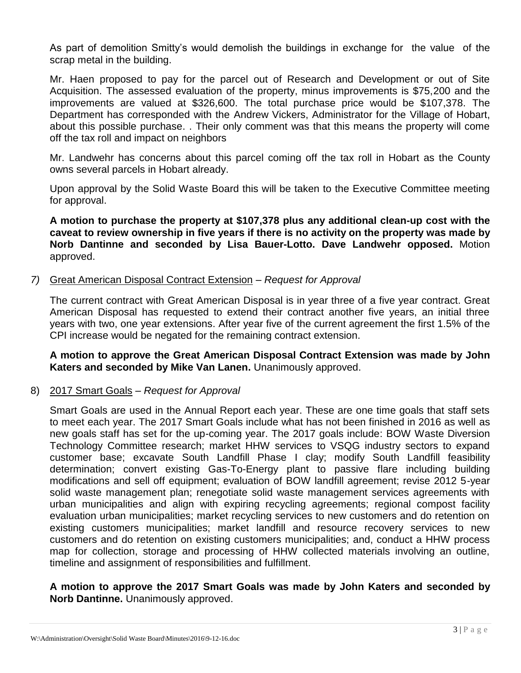As part of demolition Smitty's would demolish the buildings in exchange for the value of the scrap metal in the building.

Mr. Haen proposed to pay for the parcel out of Research and Development or out of Site Acquisition. The assessed evaluation of the property, minus improvements is \$75,200 and the improvements are valued at \$326,600. The total purchase price would be \$107,378. The Department has corresponded with the Andrew Vickers, Administrator for the Village of Hobart, about this possible purchase. . Their only comment was that this means the property will come off the tax roll and impact on neighbors

Mr. Landwehr has concerns about this parcel coming off the tax roll in Hobart as the County owns several parcels in Hobart already.

Upon approval by the Solid Waste Board this will be taken to the Executive Committee meeting for approval.

**A motion to purchase the property at \$107,378 plus any additional clean-up cost with the caveat to review ownership in five years if there is no activity on the property was made by Norb Dantinne and seconded by Lisa Bauer-Lotto. Dave Landwehr opposed.** Motion approved.

#### *7)* Great American Disposal Contract Extension – *Request for Approval*

The current contract with Great American Disposal is in year three of a five year contract. Great American Disposal has requested to extend their contract another five years, an initial three years with two, one year extensions. After year five of the current agreement the first 1.5% of the CPI increase would be negated for the remaining contract extension.

**A motion to approve the Great American Disposal Contract Extension was made by John Katers and seconded by Mike Van Lanen.** Unanimously approved.

#### 8) 2017 Smart Goals – *Request for Approval*

Smart Goals are used in the Annual Report each year. These are one time goals that staff sets to meet each year. The 2017 Smart Goals include what has not been finished in 2016 as well as new goals staff has set for the up-coming year. The 2017 goals include: BOW Waste Diversion Technology Committee research; market HHW services to VSQG industry sectors to expand customer base; excavate South Landfill Phase I clay; modify South Landfill feasibility determination; convert existing Gas-To-Energy plant to passive flare including building modifications and sell off equipment; evaluation of BOW landfill agreement; revise 2012 5-year solid waste management plan; renegotiate solid waste management services agreements with urban municipalities and align with expiring recycling agreements; regional compost facility evaluation urban municipalities; market recycling services to new customers and do retention on existing customers municipalities; market landfill and resource recovery services to new customers and do retention on existing customers municipalities; and, conduct a HHW process map for collection, storage and processing of HHW collected materials involving an outline, timeline and assignment of responsibilities and fulfillment.

#### **A motion to approve the 2017 Smart Goals was made by John Katers and seconded by Norb Dantinne.** Unanimously approved.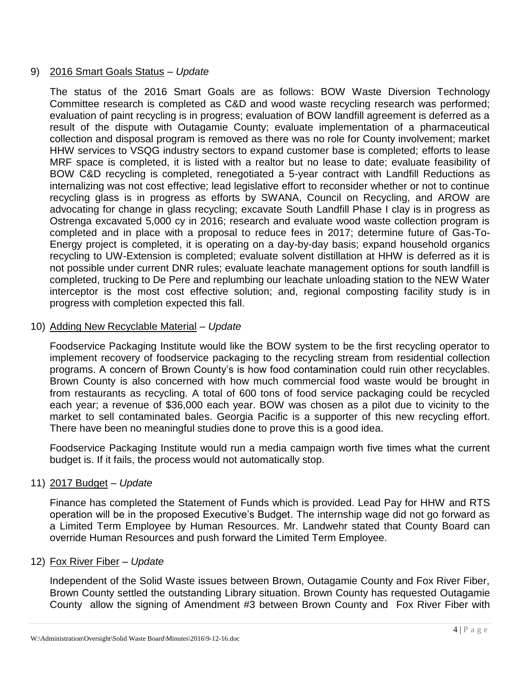#### 9) 2016 Smart Goals Status – *Update*

The status of the 2016 Smart Goals are as follows: BOW Waste Diversion Technology Committee research is completed as C&D and wood waste recycling research was performed; evaluation of paint recycling is in progress; evaluation of BOW landfill agreement is deferred as a result of the dispute with Outagamie County; evaluate implementation of a pharmaceutical collection and disposal program is removed as there was no role for County involvement; market HHW services to VSQG industry sectors to expand customer base is completed; efforts to lease MRF space is completed, it is listed with a realtor but no lease to date; evaluate feasibility of BOW C&D recycling is completed, renegotiated a 5-year contract with Landfill Reductions as internalizing was not cost effective; lead legislative effort to reconsider whether or not to continue recycling glass is in progress as efforts by SWANA, Council on Recycling, and AROW are advocating for change in glass recycling; excavate South Landfill Phase I clay is in progress as Ostrenga excavated 5,000 cy in 2016; research and evaluate wood waste collection program is completed and in place with a proposal to reduce fees in 2017; determine future of Gas-To-Energy project is completed, it is operating on a day-by-day basis; expand household organics recycling to UW-Extension is completed; evaluate solvent distillation at HHW is deferred as it is not possible under current DNR rules; evaluate leachate management options for south landfill is completed, trucking to De Pere and replumbing our leachate unloading station to the NEW Water interceptor is the most cost effective solution; and, regional composting facility study is in progress with completion expected this fall.

#### 10) Adding New Recyclable Material – *Update*

Foodservice Packaging Institute would like the BOW system to be the first recycling operator to implement recovery of foodservice packaging to the recycling stream from residential collection programs. A concern of Brown County's is how food contamination could ruin other recyclables. Brown County is also concerned with how much commercial food waste would be brought in from restaurants as recycling. A total of 600 tons of food service packaging could be recycled each year; a revenue of \$36,000 each year. BOW was chosen as a pilot due to vicinity to the market to sell contaminated bales. Georgia Pacific is a supporter of this new recycling effort. There have been no meaningful studies done to prove this is a good idea.

Foodservice Packaging Institute would run a media campaign worth five times what the current budget is. If it fails, the process would not automatically stop.

#### 11) 2017 Budget – *Update*

Finance has completed the Statement of Funds which is provided. Lead Pay for HHW and RTS operation will be in the proposed Executive's Budget. The internship wage did not go forward as a Limited Term Employee by Human Resources. Mr. Landwehr stated that County Board can override Human Resources and push forward the Limited Term Employee.

#### 12) Fox River Fiber – *Update*

Independent of the Solid Waste issues between Brown, Outagamie County and Fox River Fiber, Brown County settled the outstanding Library situation. Brown County has requested Outagamie County allow the signing of Amendment #3 between Brown County and Fox River Fiber with